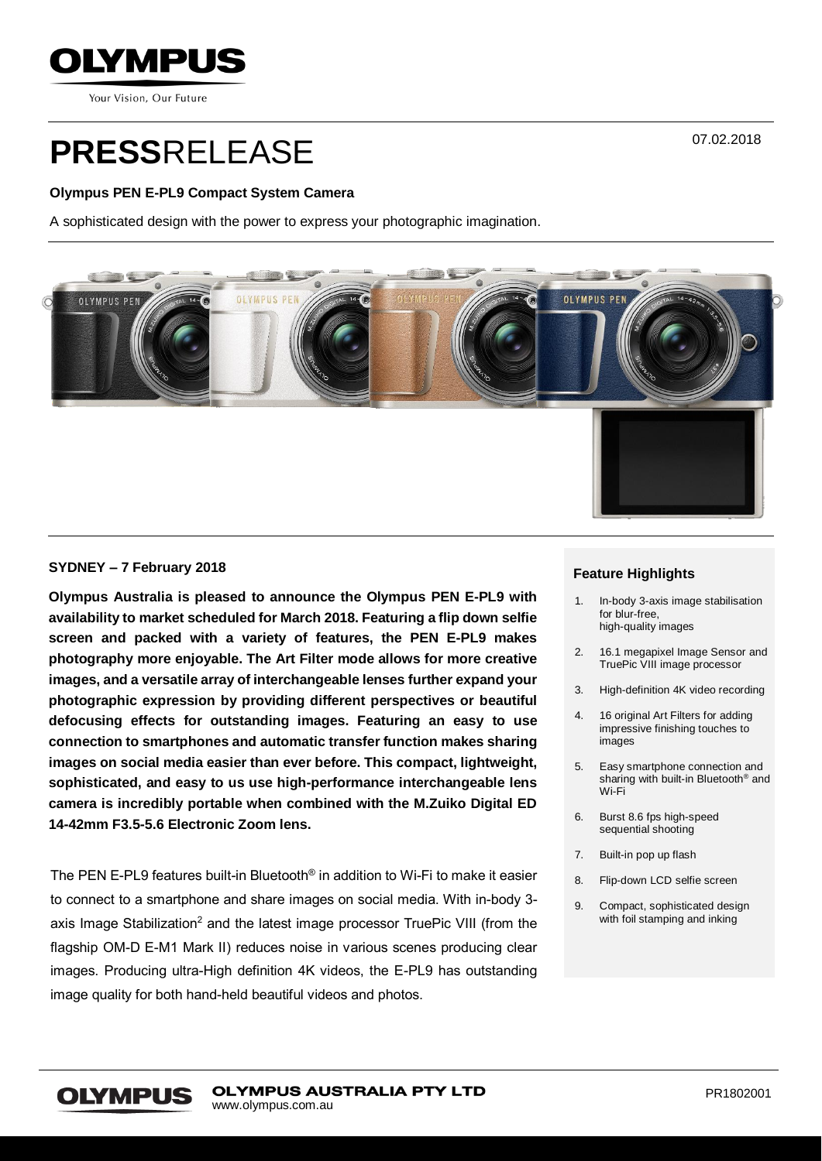

Your Vision, Our Future

# **PRESS**RELEASE

## **Olympus PEN E-PL9 Compact System Camera**

A sophisticated design with the power to express your photographic imagination.



## **SYDNEY – 7 February 2018**

**Olympus Australia is pleased to announce the Olympus PEN E-PL9 with availability to market scheduled for March 2018. Featuring a flip down selfie screen and packed with a variety of features, the PEN E-PL9 makes photography more enjoyable. The Art Filter mode allows for more creative images, and a versatile array of interchangeable lenses further expand your photographic expression by providing different perspectives or beautiful defocusing effects for outstanding images. Featuring an easy to use connection to smartphones and automatic transfer function makes sharing images on social media easier than ever before. This compact, lightweight, sophisticated, and easy to us use high-performance interchangeable lens camera is incredibly portable when combined with the M.Zuiko Digital ED 14-42mm F3.5-5.6 Electronic Zoom lens.**

The PEN E-PL9 features built-in Bluetooth® in addition to Wi-Fi to make it easier to connect to a smartphone and share images on social media. With in-body 3 axis Image Stabilization<sup>2</sup> and the latest image processor TruePic VIII (from the flagship OM-D E-M1 Mark II) reduces noise in various scenes producing clear images. Producing ultra-High definition 4K videos, the E-PL9 has outstanding image quality for both hand-held beautiful videos and photos.

## **Feature Highlights**

- 1. In-body 3-axis image stabilisation for blur-free, high-quality images
- 2. 16.1 megapixel Image Sensor and TruePic VIII image processor
- 3. High-definition 4K video recording
- 4. 16 original Art Filters for adding impressive finishing touches to images
- 5. Easy smartphone connection and sharing with built-in Bluetooth<sup>®</sup> and Wi-Fi
- 6. Burst 8.6 fps high-speed sequential shooting
- 7. Built-in pop up flash
- 8. Flip-down LCD selfie screen
- 9. Compact, sophisticated design with foil stamping and inking

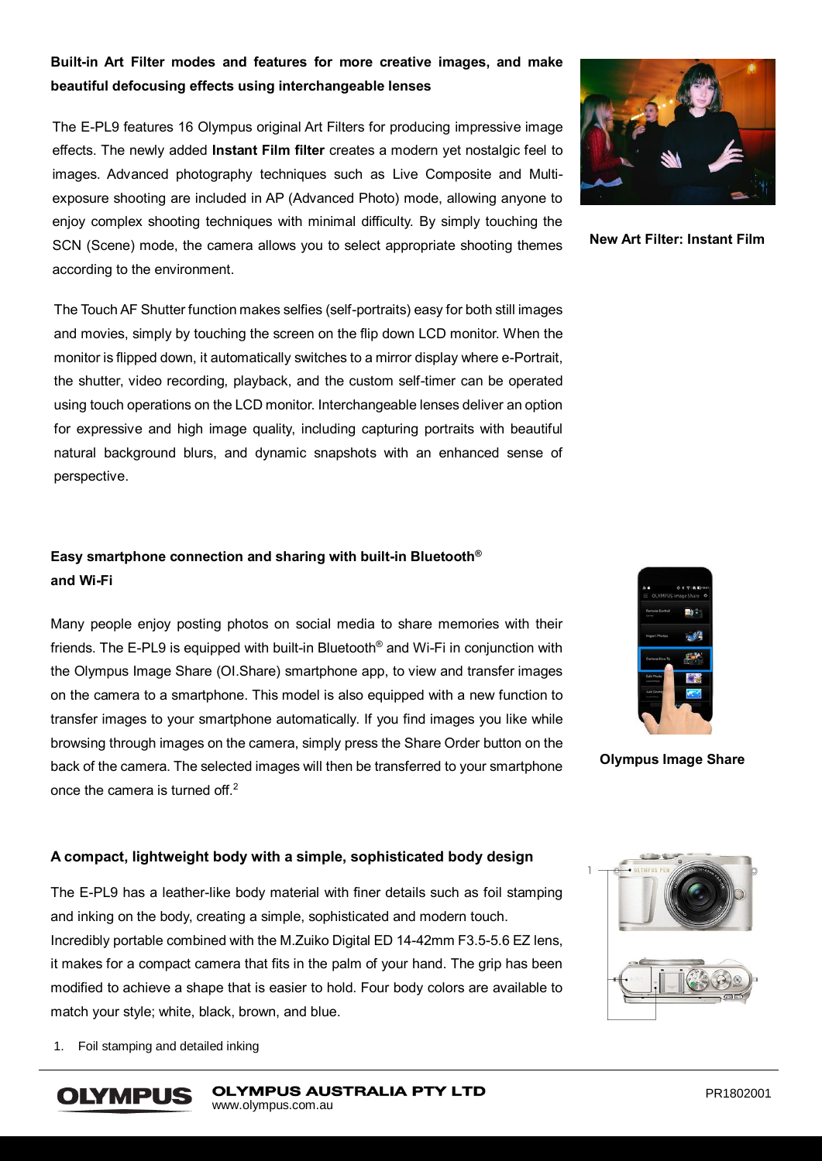# **Built-in Art Filter modes and features for more creative images, and make beautiful defocusing effects using interchangeable lenses**

The E-PL9 features 16 Olympus original Art Filters for producing impressive image effects. The newly added **Instant Film filter** creates a modern yet nostalgic feel to images. Advanced photography techniques such as Live Composite and Multiexposure shooting are included in AP (Advanced Photo) mode, allowing anyone to enjoy complex shooting techniques with minimal difficulty. By simply touching the SCN (Scene) mode, the camera allows you to select appropriate shooting themes according to the environment.

The Touch AF Shutter function makes selfies (self-portraits) easy for both still images and movies, simply by touching the screen on the flip down LCD monitor. When the monitor is flipped down, it automatically switches to a mirror display where e-Portrait, the shutter, video recording, playback, and the custom self-timer can be operated using touch operations on the LCD monitor. Interchangeable lenses deliver an option for expressive and high image quality, including capturing portraits with beautiful natural background blurs, and dynamic snapshots with an enhanced sense of perspective.

# **Easy smartphone connection and sharing with built-in Bluetooth® and Wi-Fi**

Many people enjoy posting photos on social media to share memories with their friends. The E-PL9 is equipped with built-in Bluetooth® and Wi-Fi in conjunction with the Olympus Image Share (OI.Share) smartphone app, to view and transfer images on the camera to a smartphone. This model is also equipped with a new function to transfer images to your smartphone automatically. If you find images you like while browsing through images on the camera, simply press the Share Order button on the back of the camera. The selected images will then be transferred to your smartphone once the camera is turned off.<sup>2</sup>



**New Art Filter: Instant Film**



**Olympus Image Share**

## **A compact, lightweight body with a simple, sophisticated body design**

The E-PL9 has a leather-like body material with finer details such as foil stamping and inking on the body, creating a simple, sophisticated and modern touch. Incredibly portable combined with the M.Zuiko Digital ED 14-42mm F3.5-5.6 EZ lens, it makes for a compact camera that fits in the palm of your hand. The grip has been modified to achieve a shape that is easier to hold. Four body colors are available to match your style; white, black, brown, and blue.



1. Foil stamping and detailed inking

**OLYMPUS**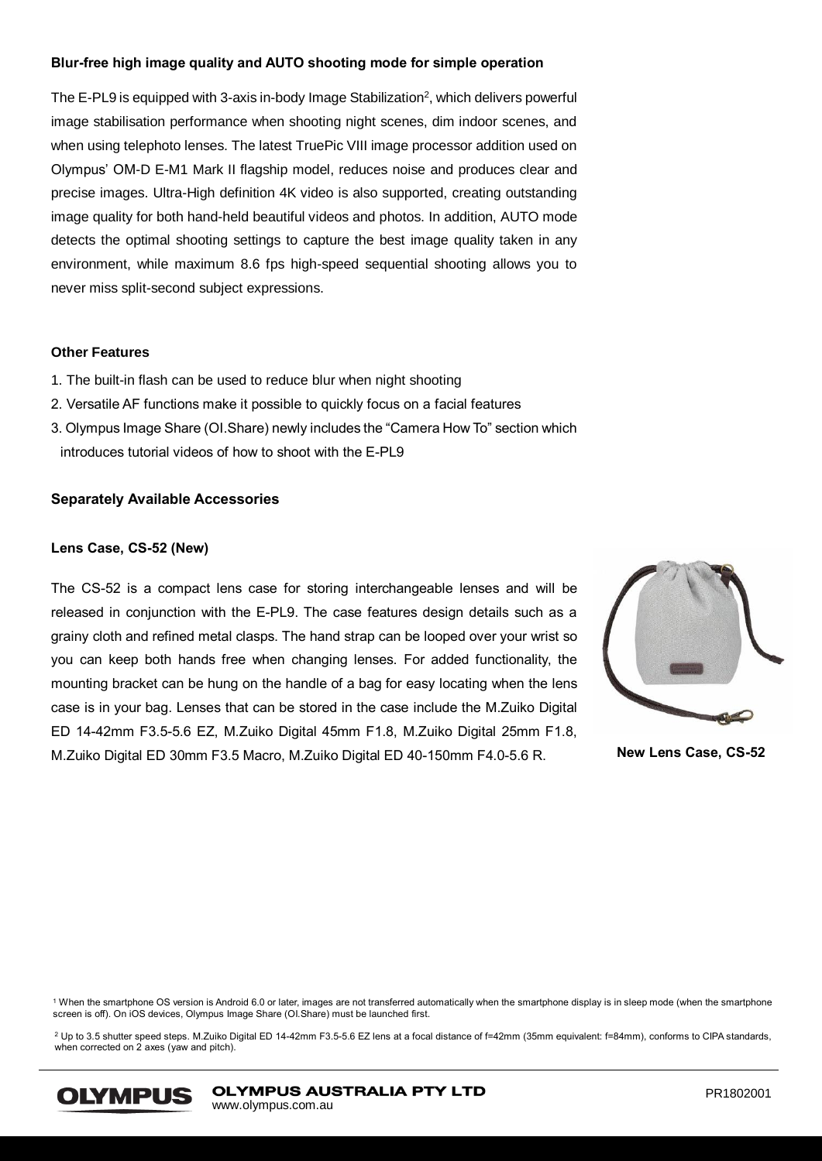## **Blur-free high image quality and AUTO shooting mode for simple operation**

The E-PL9 is equipped with 3-axis in-body Image Stabilization<sup>2</sup>, which delivers powerful image stabilisation performance when shooting night scenes, dim indoor scenes, and when using telephoto lenses. The latest TruePic VIII image processor addition used on Olympus' OM-D E-M1 Mark II flagship model, reduces noise and produces clear and precise images. Ultra-High definition 4K video is also supported, creating outstanding image quality for both hand-held beautiful videos and photos. In addition, AUTO mode detects the optimal shooting settings to capture the best image quality taken in any environment, while maximum 8.6 fps high-speed sequential shooting allows you to never miss split-second subject expressions.

#### **Other Features**

- 1. The built-in flash can be used to reduce blur when night shooting
- 2. Versatile AF functions make it possible to quickly focus on a facial features
- 3. Olympus Image Share (OI.Share) newly includes the "Camera How To" section which introduces tutorial videos of how to shoot with the E-PL9

#### **Separately Available Accessories**

#### **Lens Case, CS-52 (New)**

The CS-52 is a compact lens case for storing interchangeable lenses and will be released in conjunction with the E-PL9. The case features design details such as a grainy cloth and refined metal clasps. The hand strap can be looped over your wrist so you can keep both hands free when changing lenses. For added functionality, the mounting bracket can be hung on the handle of a bag for easy locating when the lens case is in your bag. Lenses that can be stored in the case include the M.Zuiko Digital ED 14-42mm F3.5-5.6 EZ, M.Zuiko Digital 45mm F1.8, M.Zuiko Digital 25mm F1.8, M.Zuiko Digital ED 30mm F3.5 Macro, M.Zuiko Digital ED 40-150mm F4.0-5.6 R. **New Lens Case, CS-52**



<sup>1</sup> When the smartphone OS version is Android 6.0 or later, images are not transferred automatically when the smartphone display is in sleep mode (when the smartphone screen is off). On iOS devices, Olympus Image Share (OI.Share) must be launched first.

<sup>2</sup> Up to 3.5 shutter speed steps. M.Zuiko Digital ED 14-42mm F3.5-5.6 EZ lens at a focal distance of f=42mm (35mm equivalent: f=84mm), conforms to CIPA standards, when corrected on 2 axes (yaw and pitch).



**OLYMPUS AUSTRALIA PTY LTD** www.olympus.com.au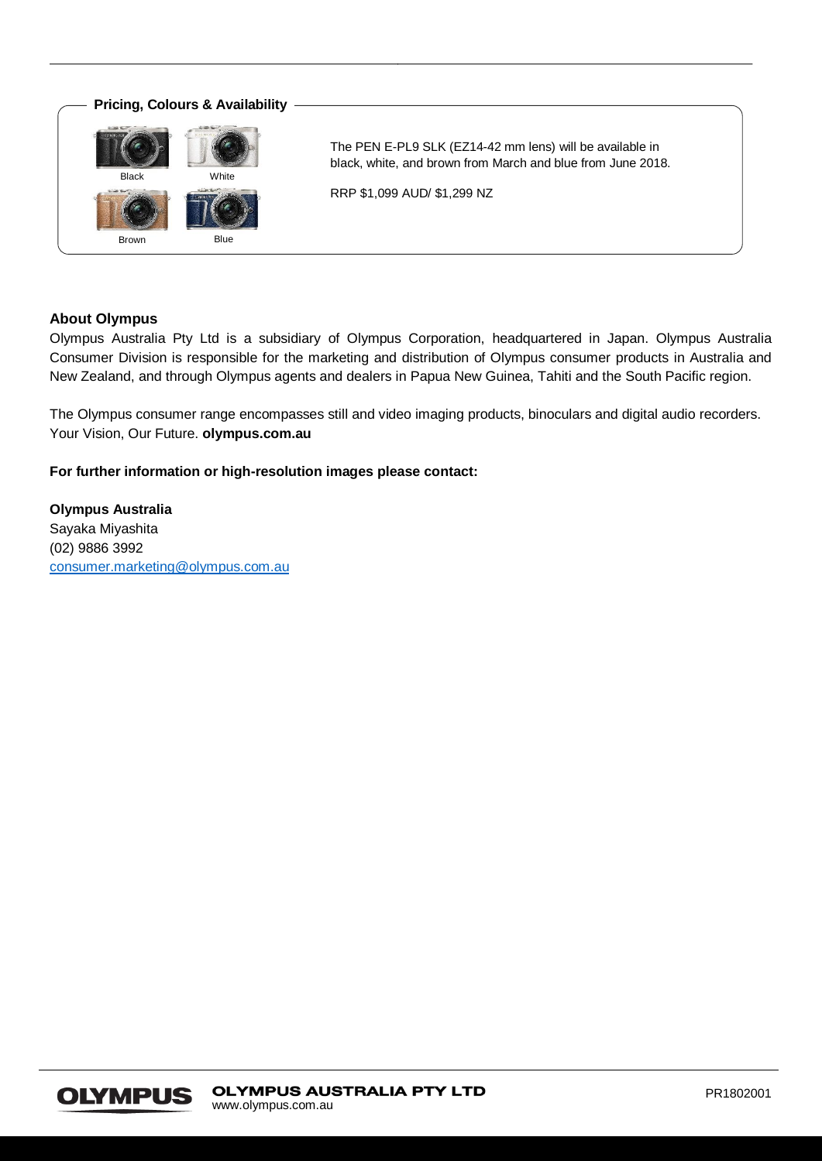

## **About Olympus**

Olympus Australia Pty Ltd is a subsidiary of Olympus Corporation, headquartered in Japan. Olympus Australia Consumer Division is responsible for the marketing and distribution of Olympus consumer products in Australia and New Zealand, and through Olympus agents and dealers in Papua New Guinea, Tahiti and the South Pacific region.

The Olympus consumer range encompasses still and video imaging products, binoculars and digital audio recorders. Your Vision, Our Future. **olympus.com.au**

**For further information or high-resolution images please contact:**

**Olympus Australia** Sayaka Miyashita (02) 9886 3992 [consumer.marketing@olympus.com.au](mailto:consumer.marketing@olympus.com.au)